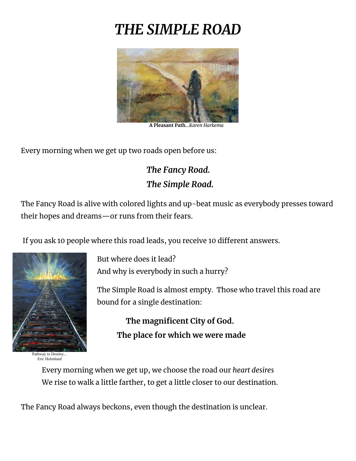## *THE SIMPLE ROAD*



 **A Pleasant Path.**..*Karen Harkema* 

Every morning when we get up two roads open before us:

## *The Fancy Road. The Simple Road.*

The Fancy Road is alive with colored lights and up-beat music as everybody presses toward their hopes and dreams—or runs from their fears.

If you ask 10 people where this road leads, you receive 10 different answers.



Pathway to Destiny... Eric Holmlund

But where does it lead? And why is everybody in such a hurry?

The Simple Road is almost empty. Those who travel this road are bound for a single destination:

 **The magnificent City of God. The place for which we were made**

Every morning when we get up, we choose the road our *heart desires* We rise to walk a little farther, to get a little closer to our destination.

The Fancy Road always beckons, even though the destination is unclear.